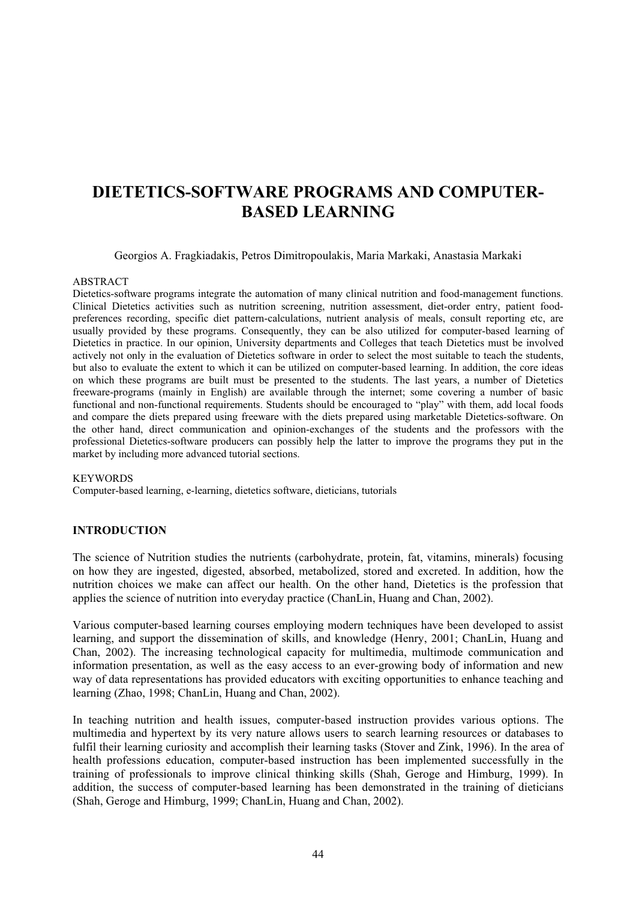# **DIETETICS-SOFTWARE PROGRAMS AND COMPUTER-BASED LEARNING**

Georgios A. Fragkiadakis, Petros Dimitropoulakis, Maria Markaki, Anastasia Markaki

#### ABSTRACT

Dietetics-software programs integrate the automation of many clinical nutrition and food-management functions. Clinical Dietetics activities such as nutrition screening, nutrition assessment, diet-order entry, patient foodpreferences recording, specific diet pattern-calculations, nutrient analysis of meals, consult reporting etc, are usually provided by these programs. Consequently, they can be also utilized for computer-based learning of Dietetics in practice. In our opinion, University departments and Colleges that teach Dietetics must be involved actively not only in the evaluation of Dietetics software in order to select the most suitable to teach the students, but also to evaluate the extent to which it can be utilized on computer-based learning. In addition, the core ideas on which these programs are built must be presented to the students. The last years, a number of Dietetics freeware-programs (mainly in English) are available through the internet; some covering a number of basic functional and non-functional requirements. Students should be encouraged to "play" with them, add local foods and compare the diets prepared using freeware with the diets prepared using marketable Dietetics-software. On the other hand, direct communication and opinion-exchanges of the students and the professors with the professional Dietetics-software producers can possibly help the latter to improve the programs they put in the market by including more advanced tutorial sections.

#### **KEYWORDS**

Computer-based learning, e-learning, dietetics software, dieticians, tutorials

#### **INTRODUCTION**

The science of Nutrition studies the nutrients (carbohydrate, protein, fat, vitamins, minerals) focusing on how they are ingested, digested, absorbed, metabolized, stored and excreted. In addition, how the nutrition choices we make can affect our health. On the other hand, Dietetics is the profession that applies the science of nutrition into everyday practice (ChanLin, Huang and Chan, 2002).

Various computer-based learning courses employing modern techniques have been developed to assist learning, and support the dissemination of skills, and knowledge (Henry, 2001; ChanLin, Huang and Chan, 2002). The increasing technological capacity for multimedia, multimode communication and information presentation, as well as the easy access to an ever-growing body of information and new way of data representations has provided educators with exciting opportunities to enhance teaching and learning (Zhao, 1998; ChanLin, Huang and Chan, 2002).

In teaching nutrition and health issues, computer-based instruction provides various options. The multimedia and hypertext by its very nature allows users to search learning resources or databases to fulfil their learning curiosity and accomplish their learning tasks (Stover and Zink, 1996). In the area of health professions education, computer-based instruction has been implemented successfully in the training of professionals to improve clinical thinking skills (Shah, Geroge and Himburg, 1999). In addition, the success of computer-based learning has been demonstrated in the training of dieticians (Shah, Geroge and Himburg, 1999; ChanLin, Huang and Chan, 2002).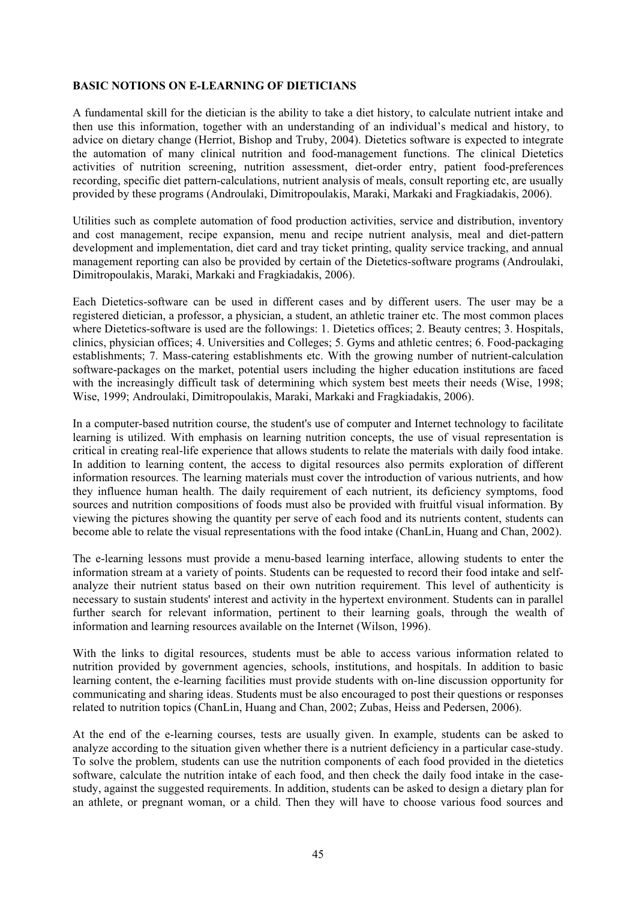## **BASIC NOTIONS ON E-LEARNING OF DIETICIANS**

A fundamental skill for the dietician is the ability to take a diet history, to calculate nutrient intake and then use this information, together with an understanding of an individual's medical and history, to advice on dietary change (Herriot, Bishop and Truby, 2004). Dietetics software is expected to integrate the automation of many clinical nutrition and food-management functions. The clinical Dietetics activities of nutrition screening, nutrition assessment, diet-order entry, patient food-preferences recording, specific diet pattern-calculations, nutrient analysis of meals, consult reporting etc, are usually provided by these programs (Androulaki, Dimitropoulakis, Maraki, Markaki and Fragkiadakis, 2006).

Utilities such as complete automation of food production activities, service and distribution, inventory and cost management, recipe expansion, menu and recipe nutrient analysis, meal and diet-pattern development and implementation, diet card and tray ticket printing, quality service tracking, and annual management reporting can also be provided by certain of the Dietetics-software programs (Androulaki, Dimitropoulakis, Maraki, Markaki and Fragkiadakis, 2006).

Each Dietetics-software can be used in different cases and by different users. The user may be a registered dietician, a professor, a physician, a student, an athletic trainer etc. The most common places where Dietetics-software is used are the followings: 1. Dietetics offices; 2. Beauty centres; 3. Hospitals, clinics, physician offices; 4. Universities and Colleges; 5. Gyms and athletic centres; 6. Food-packaging establishments; 7. Mass-catering establishments etc. With the growing number of nutrient-calculation software-packages on the market, potential users including the higher education institutions are faced with the increasingly difficult task of determining which system best meets their needs (Wise, 1998; Wise, 1999; Androulaki, Dimitropoulakis, Maraki, Markaki and Fragkiadakis, 2006).

In a computer-based nutrition course, the student's use of computer and Internet technology to facilitate learning is utilized. With emphasis on learning nutrition concepts, the use of visual representation is critical in creating real-life experience that allows students to relate the materials with daily food intake. In addition to learning content, the access to digital resources also permits exploration of different information resources. The learning materials must cover the introduction of various nutrients, and how they influence human health. The daily requirement of each nutrient, its deficiency symptoms, food sources and nutrition compositions of foods must also be provided with fruitful visual information. By viewing the pictures showing the quantity per serve of each food and its nutrients content, students can become able to relate the visual representations with the food intake (ChanLin, Huang and Chan, 2002).

The e-learning lessons must provide a menu-based learning interface, allowing students to enter the information stream at a variety of points. Students can be requested to record their food intake and selfanalyze their nutrient status based on their own nutrition requirement. This level of authenticity is necessary to sustain students' interest and activity in the hypertext environment. Students can in parallel further search for relevant information, pertinent to their learning goals, through the wealth of information and learning resources available on the Internet (Wilson, 1996).

With the links to digital resources, students must be able to access various information related to nutrition provided by government agencies, schools, institutions, and hospitals. In addition to basic learning content, the e-learning facilities must provide students with on-line discussion opportunity for communicating and sharing ideas. Students must be also encouraged to post their questions or responses related to nutrition topics (ChanLin, Huang and Chan, 2002; Zubas, Heiss and Pedersen, 2006).

At the end of the e-learning courses, tests are usually given. In example, students can be asked to analyze according to the situation given whether there is a nutrient deficiency in a particular case-study. To solve the problem, students can use the nutrition components of each food provided in the dietetics software, calculate the nutrition intake of each food, and then check the daily food intake in the casestudy, against the suggested requirements. In addition, students can be asked to design a dietary plan for an athlete, or pregnant woman, or a child. Then they will have to choose various food sources and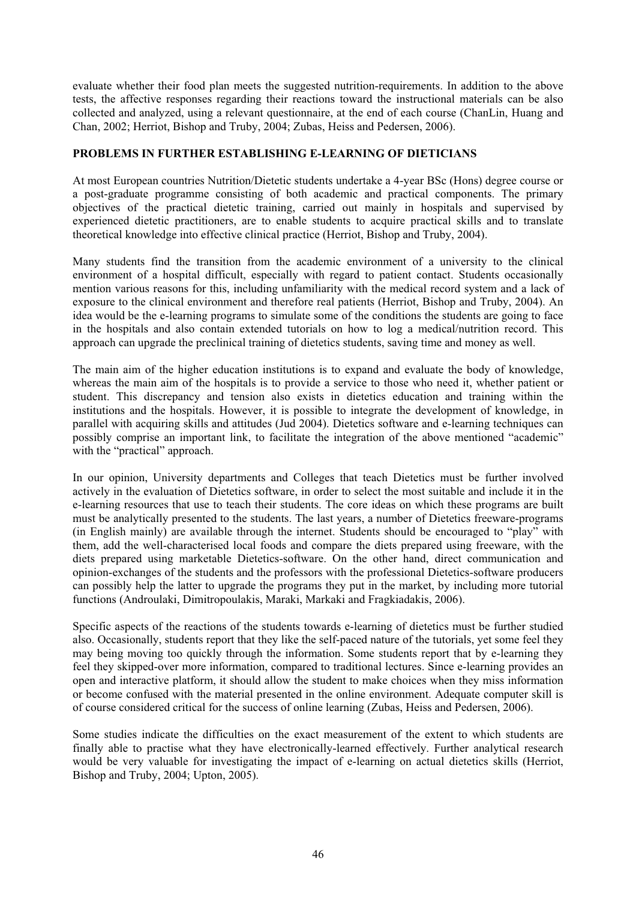evaluate whether their food plan meets the suggested nutrition-requirements. In addition to the above tests, the affective responses regarding their reactions toward the instructional materials can be also collected and analyzed, using a relevant questionnaire, at the end of each course (ChanLin, Huang and Chan, 2002; Herriot, Bishop and Truby, 2004; Zubas, Heiss and Pedersen, 2006).

## **PROBLEMS IN FURTHER ESTABLISHING E-LEARNING OF DIETICIANS**

At most European countries Nutrition/Dietetic students undertake a 4-year BSc (Hons) degree course or a post-graduate programme consisting of both academic and practical components. The primary objectives of the practical dietetic training, carried out mainly in hospitals and supervised by experienced dietetic practitioners, are to enable students to acquire practical skills and to translate theoretical knowledge into effective clinical practice (Herriot, Bishop and Truby, 2004).

Many students find the transition from the academic environment of a university to the clinical environment of a hospital difficult, especially with regard to patient contact. Students occasionally mention various reasons for this, including unfamiliarity with the medical record system and a lack of exposure to the clinical environment and therefore real patients (Herriot, Bishop and Truby, 2004). An idea would be the e-learning programs to simulate some of the conditions the students are going to face in the hospitals and also contain extended tutorials on how to log a medical/nutrition record. This approach can upgrade the preclinical training of dietetics students, saving time and money as well.

The main aim of the higher education institutions is to expand and evaluate the body of knowledge, whereas the main aim of the hospitals is to provide a service to those who need it, whether patient or student. This discrepancy and tension also exists in dietetics education and training within the institutions and the hospitals. However, it is possible to integrate the development of knowledge, in parallel with acquiring skills and attitudes (Jud 2004). Dietetics software and e-learning techniques can possibly comprise an important link, to facilitate the integration of the above mentioned "academic" with the "practical" approach.

In our opinion, University departments and Colleges that teach Dietetics must be further involved actively in the evaluation of Dietetics software, in order to select the most suitable and include it in the e-learning resources that use to teach their students. The core ideas on which these programs are built must be analytically presented to the students. The last years, a number of Dietetics freeware-programs (in English mainly) are available through the internet. Students should be encouraged to "play" with them, add the well-characterised local foods and compare the diets prepared using freeware, with the diets prepared using marketable Dietetics-software. On the other hand, direct communication and opinion-exchanges of the students and the professors with the professional Dietetics-software producers can possibly help the latter to upgrade the programs they put in the market, by including more tutorial functions (Androulaki, Dimitropoulakis, Maraki, Markaki and Fragkiadakis, 2006).

Specific aspects of the reactions of the students towards e-learning of dietetics must be further studied also. Occasionally, students report that they like the self-paced nature of the tutorials, yet some feel they may being moving too quickly through the information. Some students report that by e-learning they feel they skipped-over more information, compared to traditional lectures. Since e-learning provides an open and interactive platform, it should allow the student to make choices when they miss information or become confused with the material presented in the online environment. Adequate computer skill is of course considered critical for the success of online learning (Zubas, Heiss and Pedersen, 2006).

Some studies indicate the difficulties on the exact measurement of the extent to which students are finally able to practise what they have electronically-learned effectively. Further analytical research would be very valuable for investigating the impact of e-learning on actual dietetics skills (Herriot, Bishop and Truby, 2004; Upton, 2005).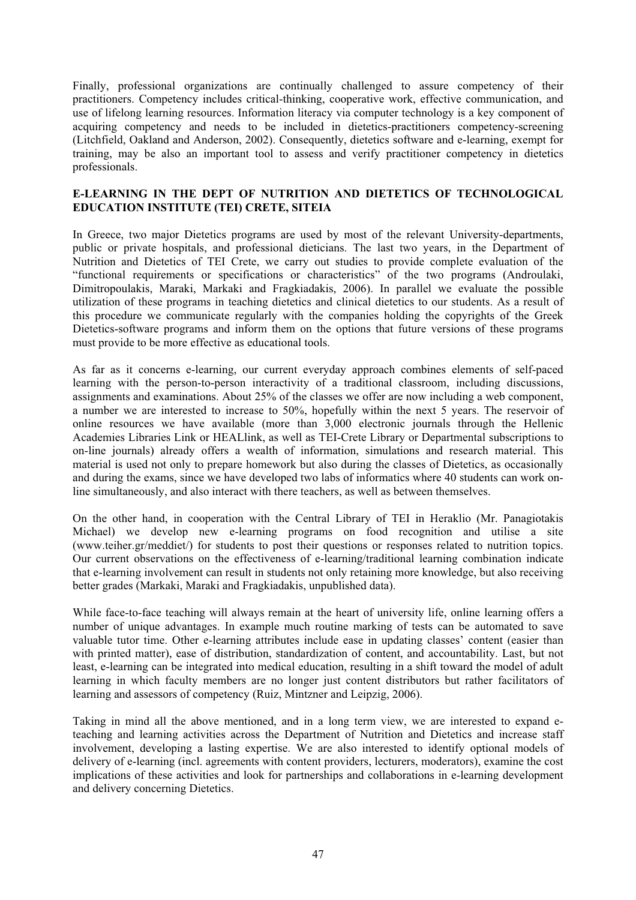Finally, professional organizations are continually challenged to assure competency of their practitioners. Competency includes critical-thinking, cooperative work, effective communication, and use of lifelong learning resources. Information literacy via computer technology is a key component of acquiring competency and needs to be included in dietetics-practitioners competency-screening (Litchfield, Oakland and Anderson, 2002). Consequently, dietetics software and e-learning, exempt for training, may be also an important tool to assess and verify practitioner competency in dietetics professionals.

## **E-LEARNING IN THE DEPT OF NUTRITION AND DIETETICS OF TECHNOLOGICAL EDUCATION INSTITUTE (TEI) CRETE, SITEIA**

In Greece, two major Dietetics programs are used by most of the relevant University-departments, public or private hospitals, and professional dieticians. The last two years, in the Department of Nutrition and Dietetics of TEI Crete, we carry out studies to provide complete evaluation of the "functional requirements or specifications or characteristics" of the two programs (Androulaki, Dimitropoulakis, Maraki, Markaki and Fragkiadakis, 2006). In parallel we evaluate the possible utilization of these programs in teaching dietetics and clinical dietetics to our students. As a result of this procedure we communicate regularly with the companies holding the copyrights of the Greek Dietetics-software programs and inform them on the options that future versions of these programs must provide to be more effective as educational tools.

As far as it concerns e-learning, our current everyday approach combines elements of self-paced learning with the person-to-person interactivity of a traditional classroom, including discussions, assignments and examinations. About 25% of the classes we offer are now including a web component, a number we are interested to increase to 50%, hopefully within the next 5 years. The reservoir of online resources we have available (more than 3,000 electronic journals through the Hellenic Academies Libraries Link or HEALlink, as well as TEI-Crete Library or Departmental subscriptions to on-line journals) already offers a wealth of information, simulations and research material. This material is used not only to prepare homework but also during the classes of Dietetics, as occasionally and during the exams, since we have developed two labs of informatics where 40 students can work online simultaneously, and also interact with there teachers, as well as between themselves.

On the other hand, in cooperation with the Central Library of TEI in Heraklio (Mr. Panagiotakis Michael) we develop new e-learning programs on food recognition and utilise a site (www.teiher.gr/meddiet/) for students to post their questions or responses related to nutrition topics. Our current observations on the effectiveness of e-learning/traditional learning combination indicate that e-learning involvement can result in students not only retaining more knowledge, but also receiving better grades (Markaki, Maraki and Fragkiadakis, unpublished data).

While face-to-face teaching will always remain at the heart of university life, online learning offers a number of unique advantages. In example much routine marking of tests can be automated to save valuable tutor time. Other e-learning attributes include ease in updating classes' content (easier than with printed matter), ease of distribution, standardization of content, and accountability. Last, but not least, e-learning can be integrated into medical education, resulting in a shift toward the model of adult learning in which faculty members are no longer just content distributors but rather facilitators of learning and assessors of competency (Ruiz, Mintzner and Leipzig, 2006).

Taking in mind all the above mentioned, and in a long term view, we are interested to expand eteaching and learning activities across the Department of Nutrition and Dietetics and increase staff involvement, developing a lasting expertise. We are also interested to identify optional models of delivery of e-learning (incl. agreements with content providers, lecturers, moderators), examine the cost implications of these activities and look for partnerships and collaborations in e-learning development and delivery concerning Dietetics.